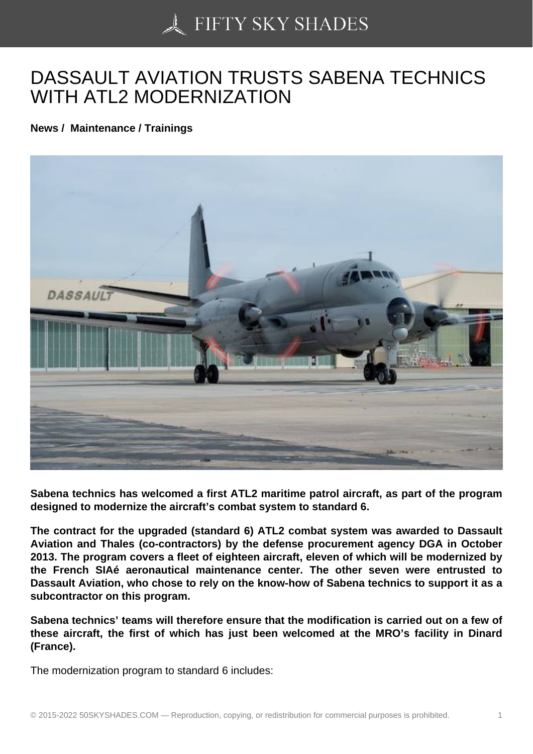## [DASSAULT AVIATION](https://50skyshades.com) TRUSTS SABENA TECHNICS WITH ATL2 MODERNIZATION

News / Maintenance / Trainings

Sabena technics has welcomed a first ATL2 maritime patrol aircraft, as part of the program designed to modernize the aircraft's combat system to standard 6.

The contract for the upgraded (standard 6) ATL2 combat system was awarded to Dassault Aviation and Thales (co-contractors) by the defense procurement agency DGA in October 2013. The program covers a fleet of eighteen aircraft, eleven of which will be modernized by the French SIAé aeronautical maintenance center. The other seven were entrusted to Dassault Aviation, who chose to rely on the know-how of Sabena technics to support it as a subcontractor on this program.

Sabena technics' teams will therefore ensure that the modification is carried out on a few of these aircraft, the first of which has just been welcomed at the MRO's facility in Dinard (France).

The modernization program to standard 6 includes: